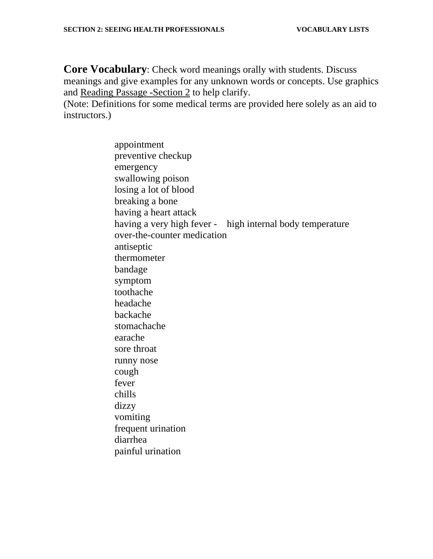**Core Vocabulary**: Check word meanings orally with students. Discuss meanings and give examples for any unknown words or concepts. Use graphics and Reading Passage -Section 2 to help clarify.

(Note: Definitions for some medical terms are provided here solely as an aid to instructors.)

> appointment preventive checkup emergency swallowing poison losing a lot of blood breaking a bone having a heart attack having a very high fever - high internal body temperature over-the-counter medication antiseptic thermometer bandage symptom toothache headache backache stomachache earache sore throat runny nose cough fever chills dizzy vomiting frequent urination diarrhea painful urination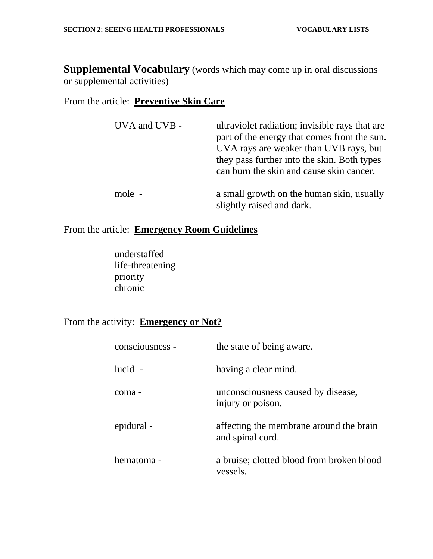**Supplemental Vocabulary** (words which may come up in oral discussions or supplemental activities)

## From the article: **Preventive Skin Care**

| UVA and UVB - | ultraviolet radiation; invisible rays that are<br>part of the energy that comes from the sun.<br>UVA rays are weaker than UVB rays, but<br>they pass further into the skin. Both types<br>can burn the skin and cause skin cancer. |
|---------------|------------------------------------------------------------------------------------------------------------------------------------------------------------------------------------------------------------------------------------|
| mole -        | a small growth on the human skin, usually<br>slightly raised and dark.                                                                                                                                                             |

## From the article: **Emergency Room Guidelines**

understaffed life-threatening priority chronic

## From the activity: **Emergency or Not?**

| consciousness - | the state of being aware.                                   |
|-----------------|-------------------------------------------------------------|
| $lucid -$       | having a clear mind.                                        |
| coma -          | unconsciousness caused by disease,<br>injury or poison.     |
| epidural -      | affecting the membrane around the brain<br>and spinal cord. |
| hematoma -      | a bruise; clotted blood from broken blood<br>vessels.       |